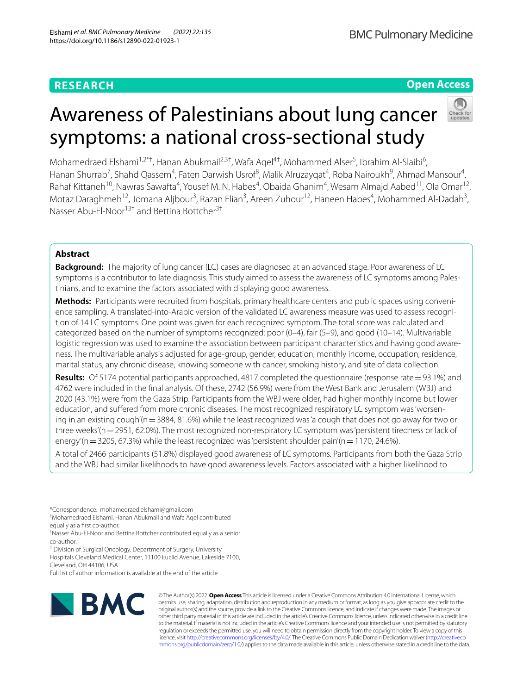# **Open Access**



# Awareness of Palestinians about lung cancer symptoms: a national cross-sectional study

Mohamedraed Elshami<sup>1,2\*†</sup>, Hanan Abukmail<sup>2,3†</sup>, Wafa Aqel<sup>4†</sup>, Mohammed Alser<sup>5</sup>, Ibrahim Al-Slaibi<sup>6</sup>, Hanan Shurrab<sup>7</sup>, Shahd Qassem<sup>4</sup>, Faten Darwish Usrof<sup>8</sup>, Malik Alruzayqat<sup>4</sup>, Roba Nairoukh<sup>9</sup>, Ahmad Mansour<sup>4</sup>, Rahaf Kittaneh<sup>10</sup>, Nawras Sawafta<sup>4</sup>, Yousef M. N. Habes<sup>4</sup>, Obaida Ghanim<sup>4</sup>, Wesam Almajd Aabed<sup>11</sup>, Ola Omar<sup>12</sup>, Motaz Daraghmeh<sup>12</sup>, Jomana Aljbour<sup>3</sup>, Razan Elian<sup>3</sup>, Areen Zuhour<sup>12</sup>, Haneen Habes<sup>4</sup>, Mohammed Al-Dadah<sup>3</sup>, Nasser Abu‑El‑Noor<sup>13†</sup> and Bettina Bottcher<sup>3†</sup>

# **Abstract**

**Background:** The majority of lung cancer (LC) cases are diagnosed at an advanced stage. Poor awareness of LC symptoms is a contributor to late diagnosis. This study aimed to assess the awareness of LC symptoms among Palestinians, and to examine the factors associated with displaying good awareness.

**Methods:** Participants were recruited from hospitals, primary healthcare centers and public spaces using conveni‑ ence sampling. A translated-into-Arabic version of the validated LC awareness measure was used to assess recognition of 14 LC symptoms. One point was given for each recognized symptom. The total score was calculated and categorized based on the number of symptoms recognized: poor (0–4), fair (5–9), and good (10–14). Multivariable logistic regression was used to examine the association between participant characteristics and having good awareness. The multivariable analysis adjusted for age-group, gender, education, monthly income, occupation, residence, marital status, any chronic disease, knowing someone with cancer, smoking history, and site of data collection.

**Results:** Of 5174 potential participants approached, 4817 completed the questionnaire (response rate=93.1%) and 4762 were included in the fnal analysis. Of these, 2742 (56.9%) were from the West Bank and Jerusalem (WBJ) and 2020 (43.1%) were from the Gaza Strip. Participants from the WBJ were older, had higher monthly income but lower education, and suffered from more chronic diseases. The most recognized respiratory LC symptom was 'worsening in an existing cough'(n = 3884, 81.6%) while the least recognized was 'a cough that does not go away for two or three weeks'(n = 2951, 62.0%). The most recognized non-respiratory LC symptom was 'persistent tiredness or lack of energy'(n=3205, 67.3%) while the least recognized was 'persistent shoulder pain'(n=1170, 24.6%).

A total of 2466 participants (51.8%) displayed good awareness of LC symptoms. Participants from both the Gaza Strip and the WBJ had similar likelihoods to have good awareness levels. Factors associated with a higher likelihood to

<sup>1</sup> Division of Surgical Oncology, Department of Surgery, University

Hospitals Cleveland Medical Center, 11100 Euclid Avenue, Lakeside 7100,

Cleveland, OH 44106, USA

Full list of author information is available at the end of the article



© The Author(s) 2022. **Open Access** This article is licensed under a Creative Commons Attribution 4.0 International License, which permits use, sharing, adaptation, distribution and reproduction in any medium or format, as long as you give appropriate credit to the original author(s) and the source, provide a link to the Creative Commons licence, and indicate if changes were made. The images or other third party material in this article are included in the article's Creative Commons licence, unless indicated otherwise in a credit line to the material. If material is not included in the article's Creative Commons licence and your intended use is not permitted by statutory regulation or exceeds the permitted use, you will need to obtain permission directly from the copyright holder. To view a copy of this licence, visit [http://creativecommons.org/licenses/by/4.0/.](http://creativecommons.org/licenses/by/4.0/) The Creative Commons Public Domain Dedication waiver ([http://creativeco](http://creativecommons.org/publicdomain/zero/1.0/) [mmons.org/publicdomain/zero/1.0/](http://creativecommons.org/publicdomain/zero/1.0/)) applies to the data made available in this article, unless otherwise stated in a credit line to the data.

<sup>\*</sup>Correspondence: mohamedraed.elshami@gmail.com

<sup>†</sup> Mohamedraed Elshami, Hanan Abukmail and Wafa Aqel contributed

equally as a frst co-author.

<sup>†</sup> Nasser Abu-El-Noor and Bettina Bottcher contributed equally as a senior co-author.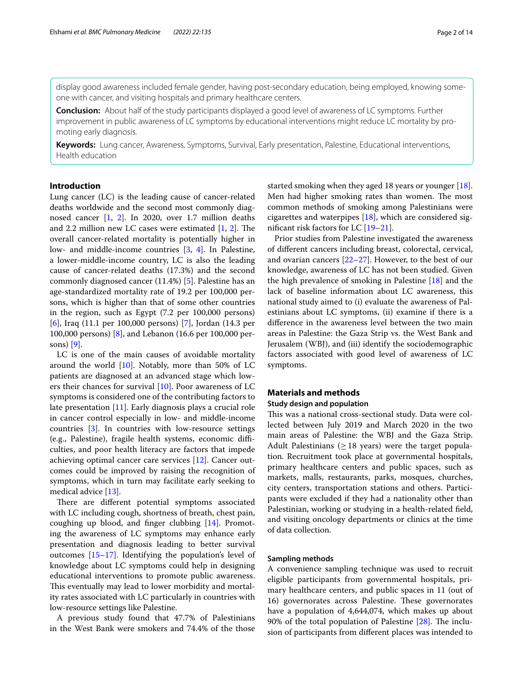display good awareness included female gender, having post-secondary education, being employed, knowing some‑ one with cancer, and visiting hospitals and primary healthcare centers.

**Conclusion:** About half of the study participants displayed a good level of awareness of LC symptoms. Further improvement in public awareness of LC symptoms by educational interventions might reduce LC mortality by promoting early diagnosis.

**Keywords:** Lung cancer, Awareness, Symptoms, Survival, Early presentation, Palestine, Educational interventions, Health education

# **Introduction**

Lung cancer (LC) is the leading cause of cancer-related deaths worldwide and the second most commonly diagnosed cancer [\[1](#page-12-0), [2](#page-12-1)]. In 2020, over 1.7 million deaths and 2.2 million new LC cases were estimated  $[1, 2]$  $[1, 2]$  $[1, 2]$ . The overall cancer-related mortality is potentially higher in low- and middle-income countries [[3,](#page-12-2) [4](#page-12-3)]. In Palestine, a lower-middle-income country, LC is also the leading cause of cancer-related deaths (17.3%) and the second commonly diagnosed cancer (11.4%) [\[5](#page-12-4)]. Palestine has an age-standardized mortality rate of 19.2 per 100,000 persons, which is higher than that of some other countries in the region, such as Egypt (7.2 per 100,000 persons) [[6\]](#page-12-5), Iraq (11.1 per 100,000 persons) [[7\]](#page-12-6), Jordan (14.3 per 100,000 persons) [[8\]](#page-12-7), and Lebanon (16.6 per 100,000 persons) [[9\]](#page-12-8).

LC is one of the main causes of avoidable mortality around the world  $[10]$  $[10]$  $[10]$ . Notably, more than 50% of LC patients are diagnosed at an advanced stage which lowers their chances for survival [\[10](#page-12-9)]. Poor awareness of LC symptoms is considered one of the contributing factors to late presentation [\[11](#page-12-10)]. Early diagnosis plays a crucial role in cancer control especially in low- and middle-income countries [\[3](#page-12-2)]. In countries with low-resource settings (e.g., Palestine), fragile health systems, economic difficulties, and poor health literacy are factors that impede achieving optimal cancer care services [[12](#page-12-11)]. Cancer outcomes could be improved by raising the recognition of symptoms, which in turn may facilitate early seeking to medical advice [[13](#page-12-12)].

There are different potential symptoms associated with LC including cough, shortness of breath, chest pain, coughing up blood, and fnger clubbing [\[14](#page-12-13)]. Promoting the awareness of LC symptoms may enhance early presentation and diagnosis leading to better survival outcomes [[15–](#page-12-14)[17\]](#page-12-15). Identifying the population's level of knowledge about LC symptoms could help in designing educational interventions to promote public awareness. This eventually may lead to lower morbidity and mortality rates associated with LC particularly in countries with low-resource settings like Palestine.

A previous study found that 47.7% of Palestinians in the West Bank were smokers and 74.4% of the those started smoking when they aged 18 years or younger [\[18](#page-12-16)]. Men had higher smoking rates than women. The most common methods of smoking among Palestinians were cigarettes and waterpipes  $[18]$  $[18]$ , which are considered signifcant risk factors for LC [[19](#page-12-17)[–21](#page-12-18)].

Prior studies from Palestine investigated the awareness of diferent cancers including breast, colorectal, cervical, and ovarian cancers [[22](#page-12-19)[–27](#page-13-0)]. However, to the best of our knowledge, awareness of LC has not been studied. Given the high prevalence of smoking in Palestine [\[18](#page-12-16)] and the lack of baseline information about LC awareness, this national study aimed to (i) evaluate the awareness of Palestinians about LC symptoms, (ii) examine if there is a diference in the awareness level between the two main areas in Palestine: the Gaza Strip vs. the West Bank and Jerusalem (WBJ), and (iii) identify the sociodemographic factors associated with good level of awareness of LC symptoms.

# **Materials and methods**

# **Study design and population**

This was a national cross-sectional study. Data were collected between July 2019 and March 2020 in the two main areas of Palestine: the WBJ and the Gaza Strip. Adult Palestinians  $(>18$  years) were the target population. Recruitment took place at governmental hospitals, primary healthcare centers and public spaces, such as markets, malls, restaurants, parks, mosques, churches, city centers, transportation stations and others. Participants were excluded if they had a nationality other than Palestinian, working or studying in a health-related feld, and visiting oncology departments or clinics at the time of data collection.

## **Sampling methods**

A convenience sampling technique was used to recruit eligible participants from governmental hospitals, primary healthcare centers, and public spaces in 11 (out of 16) governorates across Palestine. These governorates have a population of 4,644,074, which makes up about 90% of the total population of Palestine  $[28]$  $[28]$ . The inclusion of participants from diferent places was intended to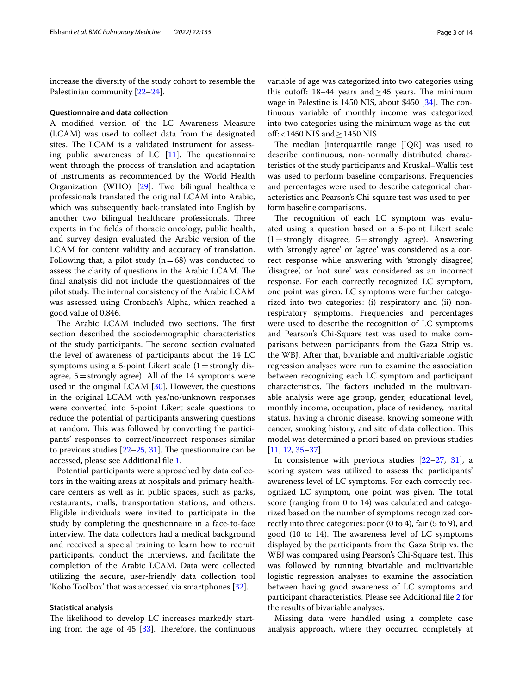increase the diversity of the study cohort to resemble the Palestinian community [\[22](#page-12-19)[–24\]](#page-13-2).

#### **Questionnaire and data collection**

A modifed version of the LC Awareness Measure (LCAM) was used to collect data from the designated sites. The LCAM is a validated instrument for assessing public awareness of LC  $[11]$  $[11]$ . The questionnaire went through the process of translation and adaptation of instruments as recommended by the World Health Organization (WHO) [\[29](#page-13-3)]. Two bilingual healthcare professionals translated the original LCAM into Arabic, which was subsequently back-translated into English by another two bilingual healthcare professionals. Three experts in the felds of thoracic oncology, public health, and survey design evaluated the Arabic version of the LCAM for content validity and accuracy of translation. Following that, a pilot study  $(n=68)$  was conducted to assess the clarity of questions in the Arabic LCAM. The fnal analysis did not include the questionnaires of the pilot study. The internal consistency of the Arabic LCAM was assessed using Cronbach's Alpha, which reached a good value of 0.846.

The Arabic LCAM included two sections. The first section described the sociodemographic characteristics of the study participants. The second section evaluated the level of awareness of participants about the 14 LC symptoms using a 5-point Likert scale  $(1=$  strongly disagree,  $5 =$ strongly agree). All of the 14 symptoms were used in the original LCAM [[30](#page-13-4)]. However, the questions in the original LCAM with yes/no/unknown responses were converted into 5-point Likert scale questions to reduce the potential of participants answering questions at random. This was followed by converting the participants' responses to correct/incorrect responses similar to previous studies  $[22-25, 31]$  $[22-25, 31]$  $[22-25, 31]$ . The questionnaire can be accessed, please see Additional fle [1.](#page-12-20)

Potential participants were approached by data collectors in the waiting areas at hospitals and primary healthcare centers as well as in public spaces, such as parks, restaurants, malls, transportation stations, and others. Eligible individuals were invited to participate in the study by completing the questionnaire in a face-to-face interview. The data collectors had a medical background and received a special training to learn how to recruit participants, conduct the interviews, and facilitate the completion of the Arabic LCAM. Data were collected utilizing the secure, user-friendly data collection tool 'Kobo Toolbox' that was accessed via smartphones [[32\]](#page-13-7).

## **Statistical analysis**

The likelihood to develop LC increases markedly starting from the age of  $45$  [\[33\]](#page-13-8). Therefore, the continuous variable of age was categorized into two categories using this cutoff:  $18-44$  years and > 45 years. The minimum wage in Palestine is 1450 NIS, about \$450  $[34]$  $[34]$  $[34]$ . The continuous variable of monthly income was categorized into two categories using the minimum wage as the cutoff: <1450 NIS and  $\geq$  1450 NIS.

The median [interquartile range  $[IQR]$  was used to describe continuous, non-normally distributed characteristics of the study participants and Kruskal–Wallis test was used to perform baseline comparisons. Frequencies and percentages were used to describe categorical characteristics and Pearson's Chi-square test was used to perform baseline comparisons.

The recognition of each LC symptom was evaluated using a question based on a 5-point Likert scale  $(1=$ strongly disagree, 5 = strongly agree). Answering with 'strongly agree' or 'agree' was considered as a correct response while answering with 'strongly disagree', 'disagree', or 'not sure' was considered as an incorrect response. For each correctly recognized LC symptom, one point was given. LC symptoms were further categorized into two categories: (i) respiratory and (ii) nonrespiratory symptoms. Frequencies and percentages were used to describe the recognition of LC symptoms and Pearson's Chi-Square test was used to make comparisons between participants from the Gaza Strip vs. the WBJ. After that, bivariable and multivariable logistic regression analyses were run to examine the association between recognizing each LC symptom and participant characteristics. The factors included in the multivariable analysis were age group, gender, educational level, monthly income, occupation, place of residency, marital status, having a chronic disease, knowing someone with cancer, smoking history, and site of data collection. This model was determined a priori based on previous studies [[11,](#page-12-10) [12](#page-12-11), [35–](#page-13-10)[37](#page-13-11)].

In consistence with previous studies  $[22-27, 31]$  $[22-27, 31]$  $[22-27, 31]$  $[22-27, 31]$ , a scoring system was utilized to assess the participants' awareness level of LC symptoms. For each correctly recognized LC symptom, one point was given. The total score (ranging from 0 to 14) was calculated and categorized based on the number of symptoms recognized correctly into three categories: poor (0 to 4), fair (5 to 9), and good  $(10 \text{ to } 14)$ . The awareness level of LC symptoms displayed by the participants from the Gaza Strip vs. the WBJ was compared using Pearson's Chi-Square test. This was followed by running bivariable and multivariable logistic regression analyses to examine the association between having good awareness of LC symptoms and participant characteristics. Please see Additional fle [2](#page-12-21) for the results of bivariable analyses.

Missing data were handled using a complete case analysis approach, where they occurred completely at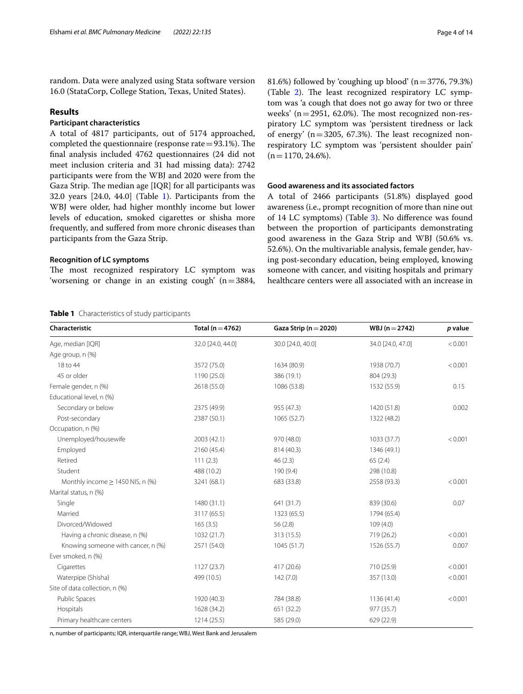random. Data were analyzed using Stata software version 16.0 (StataCorp, College Station, Texas, United States).

## **Results**

# **Participant characteristics**

A total of 4817 participants, out of 5174 approached, completed the questionnaire (response rate $=93.1\%$ ). The fnal analysis included 4762 questionnaires (24 did not meet inclusion criteria and 31 had missing data): 2742 participants were from the WBJ and 2020 were from the Gaza Strip. The median age [IQR] for all participants was 32.0 years [24.0, 44.0] (Table [1\)](#page-3-0). Participants from the WBJ were older, had higher monthly income but lower levels of education, smoked cigarettes or shisha more frequently, and sufered from more chronic diseases than participants from the Gaza Strip.

## **Recognition of LC symptoms**

The most recognized respiratory LC symptom was 'worsening or change in an existing cough'  $(n=3884,$ 

## <span id="page-3-0"></span>**Table 1** Characteristics of study participants

81.6%) followed by 'coughing up blood'  $(n=3776, 79.3%)$ (Table  $2$ ). The least recognized respiratory LC symptom was 'a cough that does not go away for two or three weeks' ( $n=2951$ , 62.0%). The most recognized non-respiratory LC symptom was 'persistent tiredness or lack of energy' ( $n=3205$ , 67.3%). The least recognized nonrespiratory LC symptom was 'persistent shoulder pain'  $(n=1170, 24.6\%).$ 

# **Good awareness and its associated factors**

A total of 2466 participants (51.8%) displayed good awareness (i.e., prompt recognition of more than nine out of 14 LC symptoms) (Table [3](#page-4-1)). No diference was found between the proportion of participants demonstrating good awareness in the Gaza Strip and WBJ (50.6% vs. 52.6%). On the multivariable analysis, female gender, having post-secondary education, being employed, knowing someone with cancer, and visiting hospitals and primary healthcare centers were all associated with an increase in

| Characteristic                        | Total ( $n = 4762$ ) | Gaza Strip ( $n = 2020$ ) | $WBJ(n=2742)$     | p value |
|---------------------------------------|----------------------|---------------------------|-------------------|---------|
| Age, median [IQR]                     | 32.0 [24.0, 44.0]    | 30.0 [24.0, 40.0]         | 34.0 [24.0, 47.0] | < 0.001 |
| Age group, n (%)                      |                      |                           |                   |         |
| 18 to 44                              | 3572 (75.0)          | 1634 (80.9)               | 1938 (70.7)       | < 0.001 |
| 45 or older                           | 1190 (25.0)          | 386 (19.1)                | 804 (29.3)        |         |
| Female gender, n (%)                  | 2618 (55.0)          | 1086 (53.8)               | 1532 (55.9)       | 0.15    |
| Educational level, n (%)              |                      |                           |                   |         |
| Secondary or below                    | 2375 (49.9)          | 955 (47.3)                | 1420 (51.8)       | 0.002   |
| Post-secondary                        | 2387 (50.1)          | 1065 (52.7)               | 1322 (48.2)       |         |
| Occupation, n (%)                     |                      |                           |                   |         |
| Unemployed/housewife                  | 2003 (42.1)          | 970 (48.0)                | 1033 (37.7)       | < 0.001 |
| Employed                              | 2160 (45.4)          | 814 (40.3)                | 1346 (49.1)       |         |
| Retired                               | 111(2.3)             | 46(2.3)                   | 65(2.4)           |         |
| Student                               | 488 (10.2)           | 190 (9.4)                 | 298 (10.8)        |         |
| Monthly income $\geq$ 1450 NIS, n (%) | 3241 (68.1)          | 683 (33.8)                | 2558 (93.3)       | < 0.001 |
| Marital status, n (%)                 |                      |                           |                   |         |
| Single                                | 1480 (31.1)          | 641 (31.7)                | 839 (30.6)        | 0.07    |
| Married                               | 3117 (65.5)          | 1323 (65.5)               | 1794 (65.4)       |         |
| Divorced/Widowed                      | 165(3.5)             | 56(2.8)                   | 109(4.0)          |         |
| Having a chronic disease, n (%)       | 1032 (21.7)          | 313 (15.5)                | 719 (26.2)        | < 0.001 |
| Knowing someone with cancer, n (%)    | 2571 (54.0)          | 1045 (51.7)               | 1526 (55.7)       | 0.007   |
| Ever smoked, n (%)                    |                      |                           |                   |         |
| Cigarettes                            | 1127(23.7)           | 417 (20.6)                | 710 (25.9)        | < 0.001 |
| Waterpipe (Shisha)                    | 499 (10.5)           | 142(7.0)                  | 357 (13.0)        | < 0.001 |
| Site of data collection, n (%)        |                      |                           |                   |         |
| Public Spaces                         | 1920 (40.3)          | 784 (38.8)                | 1136 (41.4)       | < 0.001 |
| Hospitals                             | 1628 (34.2)          | 651 (32.2)                | 977 (35.7)        |         |
| Primary healthcare centers            | 1214(25.5)           | 585 (29.0)                | 629 (22.9)        |         |

n, number of participants; IQR, interquartile range; WBJ, West Bank and Jerusalem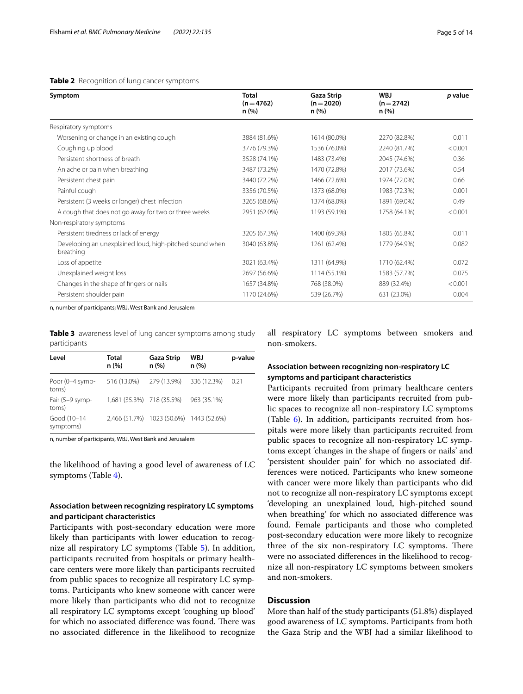## <span id="page-4-0"></span>**Table 2** Recognition of lung cancer symptoms

| Symptom                                                              | <b>Total</b><br>$(n=4762)$<br>n (%) | <b>Gaza Strip</b><br>$(n=2020)$<br>n (%) | <b>WBJ</b><br>$(n=2742)$<br>n (%) | p value |
|----------------------------------------------------------------------|-------------------------------------|------------------------------------------|-----------------------------------|---------|
| Respiratory symptoms                                                 |                                     |                                          |                                   |         |
| Worsening or change in an existing cough                             | 3884 (81.6%)                        | 1614 (80.0%)                             | 2270 (82.8%)                      | 0.011   |
| Coughing up blood                                                    | 3776 (79.3%)                        | 1536 (76.0%)                             | 2240 (81.7%)                      | < 0.001 |
| Persistent shortness of breath                                       | 3528 (74.1%)                        | 1483 (73.4%)                             | 2045 (74.6%)                      | 0.36    |
| An ache or pain when breathing                                       | 3487 (73.2%)                        | 1470 (72.8%)                             | 2017 (73.6%)                      | 0.54    |
| Persistent chest pain                                                | 3440 (72.2%)                        | 1466 (72.6%)                             | 1974 (72.0%)                      | 0.66    |
| Painful cough                                                        | 3356 (70.5%)                        | 1373 (68.0%)                             | 1983 (72.3%)                      | 0.001   |
| Persistent (3 weeks or longer) chest infection                       | 3265 (68.6%)                        | 1374 (68.0%)                             | 1891 (69.0%)                      | 0.49    |
| A cough that does not go away for two or three weeks                 | 2951 (62.0%)                        | 1193 (59.1%)                             | 1758 (64.1%)                      | < 0.001 |
| Non-respiratory symptoms                                             |                                     |                                          |                                   |         |
| Persistent tiredness or lack of energy                               | 3205 (67.3%)                        | 1400 (69.3%)                             | 1805 (65.8%)                      | 0.011   |
| Developing an unexplained loud, high-pitched sound when<br>breathing | 3040 (63.8%)                        | 1261 (62.4%)                             | 1779 (64.9%)                      | 0.082   |
| Loss of appetite                                                     | 3021 (63.4%)                        | 1311 (64.9%)                             | 1710 (62.4%)                      | 0.072   |
| Unexplained weight loss                                              | 2697 (56.6%)                        | 1114 (55.1%)                             | 1583 (57.7%)                      | 0.075   |
| Changes in the shape of fingers or nails                             | 1657 (34.8%)                        | 768 (38.0%)                              | 889 (32.4%)                       | < 0.001 |
| Persistent shoulder pain                                             | 1170 (24.6%)                        | 539 (26.7%)                              | 631 (23.0%)                       | 0.004   |

n, number of participants; WBJ, West Bank and Jerusalem

<span id="page-4-1"></span>**Table 3** awareness level of lung cancer symptoms among study participants

| Level                    | <b>Total</b><br>n (%)     | Gaza Strip<br>n (%)                     | <b>WBJ</b><br>n(%) | p-value |
|--------------------------|---------------------------|-----------------------------------------|--------------------|---------|
| Poor (0-4 symp-<br>toms) | 516 (13.0%)               | 279 (13.9%)                             | 336 (12.3%)        | 0.21    |
| Fair (5-9 symp-<br>toms) | 1,681 (35.3%) 718 (35.5%) |                                         | 963 (35.1%)        |         |
| Good (10-14<br>symptoms) |                           | 2,466 (51.7%) 1023 (50.6%) 1443 (52.6%) |                    |         |

n, number of participants, WBJ, West Bank and Jerusalem

the likelihood of having a good level of awareness of LC symptoms (Table [4](#page-5-0)).

# **Association between recognizing respiratory LC symptoms and participant characteristics**

Participants with post-secondary education were more likely than participants with lower education to recognize all respiratory LC symptoms (Table [5](#page-6-0)). In addition, participants recruited from hospitals or primary healthcare centers were more likely than participants recruited from public spaces to recognize all respiratory LC symptoms. Participants who knew someone with cancer were more likely than participants who did not to recognize all respiratory LC symptoms except 'coughing up blood' for which no associated difference was found. There was no associated diference in the likelihood to recognize all respiratory LC symptoms between smokers and non-smokers.

# **Association between recognizing non‑respiratory LC symptoms and participant characteristics**

Participants recruited from primary healthcare centers were more likely than participants recruited from public spaces to recognize all non-respiratory LC symptoms (Table  $6$ ). In addition, participants recruited from hospitals were more likely than participants recruited from public spaces to recognize all non-respiratory LC symptoms except 'changes in the shape of fngers or nails' and 'persistent shoulder pain' for which no associated differences were noticed. Participants who knew someone with cancer were more likely than participants who did not to recognize all non-respiratory LC symptoms except 'developing an unexplained loud, high-pitched sound when breathing' for which no associated diference was found. Female participants and those who completed post-secondary education were more likely to recognize three of the six non-respiratory LC symptoms. There were no associated diferences in the likelihood to recognize all non-respiratory LC symptoms between smokers and non-smokers.

# **Discussion**

More than half of the study participants (51.8%) displayed good awareness of LC symptoms. Participants from both the Gaza Strip and the WBJ had a similar likelihood to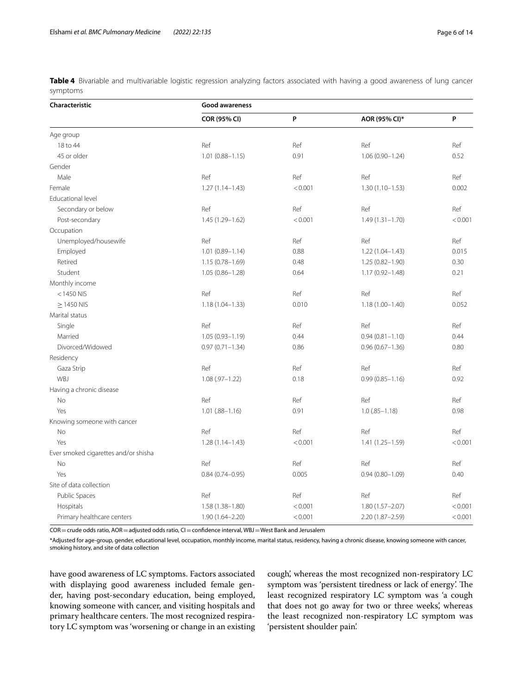<span id="page-5-0"></span>**Table 4** Bivariable and multivariable logistic regression analyzing factors associated with having a good awareness of lung cancer symptoms

| Characteristic                       | Good awareness      |         |                     |         |
|--------------------------------------|---------------------|---------|---------------------|---------|
|                                      | COR (95% CI)        | P       | AOR (95% CI)*       | P       |
| Age group                            |                     |         |                     |         |
| 18 to 44                             | Ref                 | Ref     | Ref                 | Ref     |
| 45 or older                          | $1.01(0.88 - 1.15)$ | 0.91    | $1.06(0.90 - 1.24)$ | 0.52    |
| Gender                               |                     |         |                     |         |
| Male                                 | Ref                 | Ref     | Ref                 | Ref     |
| Female                               | $1.27(1.14 - 1.43)$ | < 0.001 | $1.30(1.10 - 1.53)$ | 0.002   |
| Educational level                    |                     |         |                     |         |
| Secondary or below                   | Ref                 | Ref     | Ref                 | Ref     |
| Post-secondary                       | 1.45 (1.29-1.62)    | < 0.001 | $1.49(1.31 - 1.70)$ | < 0.001 |
| Occupation                           |                     |         |                     |         |
| Unemployed/housewife                 | Ref                 | Ref     | Ref                 | Ref     |
| Employed                             | $1.01(0.89 - 1.14)$ | 0.88    | $1.22(1.04 - 1.43)$ | 0.015   |
| Retired                              | $1.15(0.78 - 1.69)$ | 0.48    | 1.25 (0.82-1.90)    | 0.30    |
| Student                              | $1.05(0.86 - 1.28)$ | 0.64    | $1.17(0.92 - 1.48)$ | 0.21    |
| Monthly income                       |                     |         |                     |         |
| $<$ 1450 NIS                         | Ref                 | Ref     | Ref                 | Ref     |
| $\geq$ 1450 NIS                      | $1.18(1.04 - 1.33)$ | 0.010   | $1.18(1.00 - 1.40)$ | 0.052   |
| Marital status                       |                     |         |                     |         |
| Single                               | Ref                 | Ref     | Ref                 | Ref     |
| Married                              | $1.05(0.93 - 1.19)$ | 0.44    | $0.94(0.81 - 1.10)$ | 0.44    |
| Divorced/Widowed                     | $0.97(0.71 - 1.34)$ | 0.86    | $0.96(0.67 - 1.36)$ | 0.80    |
| Residency                            |                     |         |                     |         |
| Gaza Strip                           | Ref                 | Ref     | Ref                 | Ref     |
| WBJ                                  | $1.08(.97 - 1.22)$  | 0.18    | $0.99(0.85 - 1.16)$ | 0.92    |
| Having a chronic disease             |                     |         |                     |         |
| No                                   | Ref                 | Ref     | Ref                 | Ref     |
| Yes                                  | $1.01(.88 - 1.16)$  | 0.91    | $1.0 (0.85 - 1.18)$ | 0.98    |
| Knowing someone with cancer          |                     |         |                     |         |
| No                                   | Ref                 | Ref     | Ref                 | Ref     |
| Yes                                  | $1.28(1.14 - 1.43)$ | < 0.001 | $1.41(1.25 - 1.59)$ | < 0.001 |
| Ever smoked cigarettes and/or shisha |                     |         |                     |         |
| No                                   | Ref                 | Ref     | Ref                 | Ref     |
| Yes                                  | $0.84(0.74 - 0.95)$ | 0.005   | $0.94(0.80 - 1.09)$ | 0.40    |
| Site of data collection              |                     |         |                     |         |
| Public Spaces                        | Ref                 | Ref     | Ref                 | Ref     |
| Hospitals                            | 1.58 (1.38-1.80)    | < 0.001 | $1.80(1.57 - 2.07)$ | < 0.001 |
| Primary healthcare centers           | 1.90 (1.64-2.20)    | < 0.001 | $2.20(1.87 - 2.59)$ | < 0.001 |

COR = crude odds ratio, AOR = adjusted odds ratio, CI = confidence interval, WBJ = West Bank and Jerusalem

\*Adjusted for age-group, gender, educational level, occupation, monthly income, marital status, residency, having a chronic disease, knowing someone with cancer, smoking history, and site of data collection

have good awareness of LC symptoms. Factors associated with displaying good awareness included female gender, having post-secondary education, being employed, knowing someone with cancer, and visiting hospitals and primary healthcare centers. The most recognized respiratory LC symptom was 'worsening or change in an existing

cough', whereas the most recognized non-respiratory LC symptom was 'persistent tiredness or lack of energy'. The least recognized respiratory LC symptom was 'a cough that does not go away for two or three weeks', whereas the least recognized non-respiratory LC symptom was 'persistent shoulder pain'.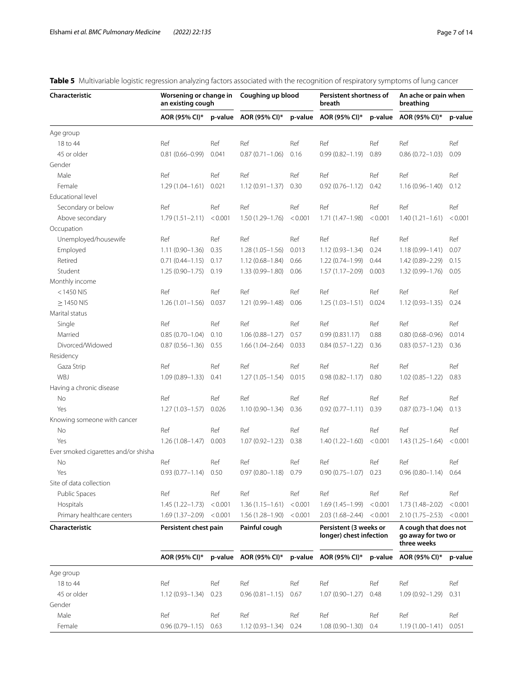| Characteristic                       | an existing cough         |         | Worsening or change in Coughing up blood |         | Persistent shortness of<br>breath                 |         | An ache or pain when<br>breathing                          |         |
|--------------------------------------|---------------------------|---------|------------------------------------------|---------|---------------------------------------------------|---------|------------------------------------------------------------|---------|
|                                      | AOR (95% CI)*             |         | p-value AOR (95% CI)*                    |         | p-value AOR (95% CI)*                             |         | p-value AOR (95% CI)*                                      | p-value |
| Age group                            |                           |         |                                          |         |                                                   |         |                                                            |         |
| 18 to 44                             | Ref                       | Ref     | Ref                                      | Ref     | Ref                                               | Ref     | Ref                                                        | Ref     |
| 45 or older                          | $0.81(0.66 - 0.99)$       | 0.041   | $0.87(0.71 - 1.06)$                      | 0.16    | $0.99(0.82 - 1.19)$                               | 0.89    | $0.86(0.72 - 1.03)$                                        | 0.09    |
| Gender                               |                           |         |                                          |         |                                                   |         |                                                            |         |
| Male                                 | Ref                       | Ref     | Ref                                      | Ref     | Ref                                               | Ref     | Ref                                                        | Ref     |
| Female                               | $1.29(1.04 - 1.61)$       | 0.021   | $1.12(0.91 - 1.37)$                      | 0.30    | $0.92(0.76 - 1.12)$                               | 0.42    | $1.16(0.96 - 1.40)$                                        | 0.12    |
| <b>Educational level</b>             |                           |         |                                          |         |                                                   |         |                                                            |         |
| Secondary or below                   | Ref                       | Ref     | Ref                                      | Ref     | Ref                                               | Ref     | Ref                                                        | Ref     |
| Above secondary                      | $1.79(1.51 - 2.11)$       | < 0.001 | $1.50(1.29 - 1.76)$                      | < 0.001 | $1.71(1.47-1.98)$                                 | < 0.001 | $1.40(1.21 - 1.61)$                                        | < 0.001 |
| Occupation                           |                           |         |                                          |         |                                                   |         |                                                            |         |
| Unemployed/housewife                 | Ref                       | Ref     | Ref                                      | Ref     | Ref                                               | Ref     | Ref                                                        | Ref     |
| Employed                             | $1.11(0.90 - 1.36)$       | 0.35    | $1.28(1.05-1.56)$                        | 0.013   | $1.12(0.93 - 1.34)$                               | 0.24    | $1.18(0.99 - 1.41)$                                        | 0.07    |
| Retired                              | $0.71(0.44 - 1.15)$       | 0.17    | $1.12(0.68 - 1.84)$                      | 0.66    | $1.22(0.74 - 1.99)$                               | 0.44    | $1.42(0.89 - 2.29)$                                        | 0.15    |
| Student                              | $1.25(0.90 - 1.75)$       | 0.19    | $1.33(0.99 - 1.80)$                      | 0.06    | $1.57(1.17 - 2.09)$                               | 0.003   | $1.32(0.99 - 1.76)$                                        | 0.05    |
| Monthly income                       |                           |         |                                          |         |                                                   |         |                                                            |         |
| $<$ 1450 NIS                         | Ref                       | Ref     | Ref                                      | Ref     | Ref                                               | Ref     | Ref                                                        | Ref     |
| $\geq$ 1450 NIS                      | $1.26(1.01 - 1.56)$       | 0.037   | 1.21 (0.99-1.48)                         | 0.06    | $1.25(1.03 - 1.51)$                               | 0.024   | $1.12(0.93 - 1.35)$                                        | 0.24    |
| Marital status                       |                           |         |                                          |         |                                                   |         |                                                            |         |
| Single                               | Ref                       | Ref     | Ref                                      | Ref     | Ref                                               | Ref     | Ref                                                        | Ref     |
|                                      | $0.85(0.70 - 1.04)$       |         | $1.06(0.88 - 1.27)$                      | 0.57    | 0.99(0.831.17)                                    |         |                                                            | 0.014   |
| Married                              |                           | 0.10    |                                          |         |                                                   | 0.88    | $0.80(0.68 - 0.96)$                                        |         |
| Divorced/Widowed                     | $0.87(0.56 - 1.36)$       | 0.55    | $1.66(1.04 - 2.64)$                      | 0.033   | $0.84(0.57 - 1.22)$                               | 0.36    | $0.83(0.57 - 1.23)$                                        | 0.36    |
| Residency                            |                           |         |                                          |         |                                                   |         |                                                            |         |
| Gaza Strip                           | Ref                       | Ref     | Ref                                      | Ref     | Ref                                               | Ref     | Ref                                                        | Ref     |
| WBJ                                  | $1.09(0.89 - 1.33)$       | 0.41    | $1.27(1.05 - 1.54)$                      | 0.015   | $0.98(0.82 - 1.17)$                               | 0.80    | $1.02(0.85 - 1.22)$                                        | 0.83    |
| Having a chronic disease             |                           |         |                                          |         |                                                   |         |                                                            |         |
| No                                   | Ref                       | Ref     | Ref                                      | Ref     | Ref                                               | Ref     | Ref                                                        | Ref     |
| Yes                                  | $1.27(1.03 - 1.57)$       | 0.026   | $1.10(0.90 - 1.34)$                      | 0.36    | $0.92(0.77 - 1.11)$                               | 0.39    | $0.87(0.73 - 1.04)$                                        | 0.13    |
| Knowing someone with cancer          |                           |         |                                          |         |                                                   |         |                                                            |         |
| No                                   | Ref                       | Ref     | Ref                                      | Ref     | Ref                                               | Ref     | Ref                                                        | Ref     |
| Yes                                  | $1.26(1.08 - 1.47)$       | 0.003   | $1.07(0.92 - 1.23)$                      | 0.38    | $1.40(1.22 - 1.60)$                               | < 0.001 | $1.43(1.25 - 1.64)$                                        | < 0.001 |
| Ever smoked cigarettes and/or shisha |                           |         |                                          |         |                                                   |         |                                                            |         |
| No                                   | Ref                       | Ref     | Ref                                      | Ref     | Ref                                               | Ref     | Ref                                                        | Ref     |
| Yes                                  | $0.93(0.77 - 1.14)$       | 0.50    | $0.97(0.80 - 1.18)$                      | 0.79    | $0.90(0.75 - 1.07)$                               | 0.23    | $0.96(0.80 - 1.14)$                                        | 0.64    |
| Site of data collection              |                           |         |                                          |         |                                                   |         |                                                            |         |
| Public Spaces                        | Ref                       | Ref     | Ref                                      | Ref     | Ref                                               | Ref     | Ref                                                        | Ref     |
| Hospitals                            | $1.45(1.22 - 1.73)$       | < 0.001 | $1.36(1.15 - 1.61)$                      | < 0.001 | $1.69(1.45 - 1.99)$                               | < 0.001 | $1.73(1.48 - 2.02)$                                        | < 0.001 |
| Primary healthcare centers           | $1.69(1.37-2.09) < 0.001$ |         | $1.56(1.28 - 1.90)$                      | < 0.001 | 2.03 (1.68–2.44)                                  | < 0.001 | $2.10(1.75 - 2.53)$                                        | < 0.001 |
| Characteristic                       | Persistent chest pain     |         | Painful cough                            |         | Persistent (3 weeks or<br>longer) chest infection |         | A cough that does not<br>go away for two or<br>three weeks |         |
|                                      | AOR (95% CI)*             |         | p-value $AOR(95\% CI)^*$                 |         | p-value $AOR(95\% CI)^*$                          |         | p-value AOR (95% CI)*                                      | p-value |
| Age group                            |                           |         |                                          |         |                                                   |         |                                                            |         |
| 18 to 44                             | Ref                       | Ref     | Ref                                      | Ref     | Ref                                               | Ref     | Ref                                                        | Ref     |
| 45 or older                          | $1.12(0.93 - 1.34)$       | 0.23    | $0.96(0.81 - 1.15)$                      | 0.67    | $1.07(0.90 - 1.27)$                               | 0.48    | $1.09(0.92 - 1.29)$                                        | 0.31    |
| Gender                               |                           |         |                                          |         |                                                   |         |                                                            |         |
| Male                                 | Ref                       | Ref     | Ref                                      | Ref     | Ref                                               | Ref     | Ref                                                        | Ref     |
| Female                               | $0.96(0.79 - 1.15) 0.63$  |         | $1.12(0.93 - 1.34)$                      | 0.24    | $1.08(0.90 - 1.30)$ 0.4                           |         | $1.19(1.00 - 1.41)$                                        | 0.051   |

# <span id="page-6-0"></span>**Table 5** Multivariable logistic regression analyzing factors associated with the recognition of respiratory symptoms of lung cancer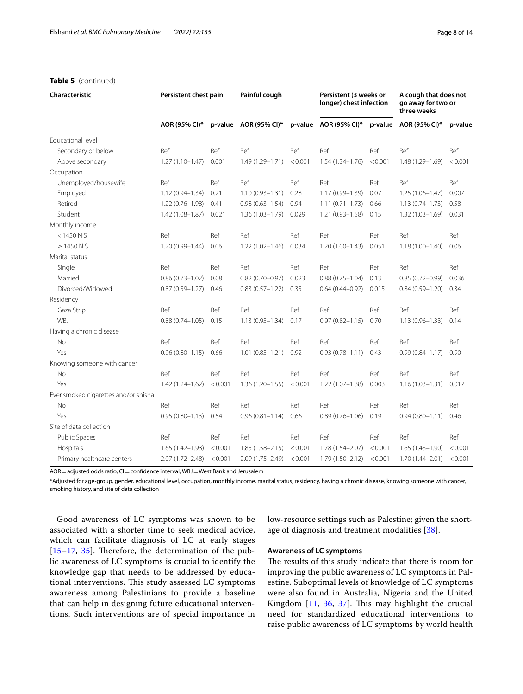Site of data collection

| Characteristic                       | Persistent chest pain |         | Painful cough         |         | Persistent (3 weeks or<br>longer) chest infection |         | A cough that does not<br>go away for two or<br>three weeks |         |
|--------------------------------------|-----------------------|---------|-----------------------|---------|---------------------------------------------------|---------|------------------------------------------------------------|---------|
|                                      | AOR (95% CI)*         |         | p-value AOR (95% CI)* |         | p-value AOR (95% CI)*                             |         | p-value AOR (95% CI)*                                      | p-value |
| Educational level                    |                       |         |                       |         |                                                   |         |                                                            |         |
| Secondary or below                   | Ref                   | Ref     | Ref                   | Ref     | Ref                                               | Ref     | Ref                                                        | Ref     |
| Above secondary                      | $1.27(1.10-1.47)$     | 0.001   | $1.49(1.29 - 1.71)$   | < 0.001 | $1.54(1.34 - 1.76)$                               | < 0.001 | 1.48 (1.29-1.69)                                           | < 0.001 |
| Occupation                           |                       |         |                       |         |                                                   |         |                                                            |         |
| Unemployed/housewife                 | Ref                   | Ref     | Ref                   | Ref     | Ref                                               | Ref     | Ref                                                        | Ref     |
| Employed                             | $1.12(0.94 - 1.34)$   | 0.21    | $1.10(0.93 - 1.31)$   | 0.28    | 1.17 (0.99-1.39)                                  | 0.07    | $1.25(1.06 - 1.47)$                                        | 0.007   |
| Retired                              | $1.22(0.76 - 1.98)$   | 0.41    | $0.98(0.63 - 1.54)$   | 0.94    | $1.11(0.71 - 1.73)$                               | 0.66    | $1.13(0.74 - 1.73)$                                        | 0.58    |
| Student                              | $1.42(1.08 - 1.87)$   | 0.021   | $1.36(1.03 - 1.79)$   | 0.029   | $1.21(0.93 - 1.58)$                               | 0.15    | $1.32(1.03 - 1.69)$                                        | 0.031   |
| Monthly income                       |                       |         |                       |         |                                                   |         |                                                            |         |
| $<$ 1450 NIS                         | Ref                   | Ref     | Ref                   | Ref     | Ref                                               | Ref     | Ref                                                        | Ref     |
| $>1450$ NIS                          | $1.20(0.99 - 1.44)$   | 0.06    | $1.22(1.02 - 1.46)$   | 0.034   | $1.20(1.00 - 1.43)$                               | 0.051   | $1.18(1.00 - 1.40)$                                        | 0.06    |
| Marital status                       |                       |         |                       |         |                                                   |         |                                                            |         |
| Single                               | Ref                   | Ref     | Ref                   | Ref     | Ref                                               | Ref     | Ref                                                        | Ref     |
| Married                              | $0.86(0.73 - 1.02)$   | 0.08    | $0.82(0.70 - 0.97)$   | 0.023   | $0.88(0.75 - 1.04)$                               | 0.13    | $0.85(0.72 - 0.99)$                                        | 0.036   |
| Divorced/Widowed                     | $0.87(0.59 - 1.27)$   | 0.46    | $0.83(0.57 - 1.22)$   | 0.35    | $0.64(0.44 - 0.92)$                               | 0.015   | $0.84(0.59 - 1.20)$                                        | 0.34    |
| Residency                            |                       |         |                       |         |                                                   |         |                                                            |         |
| Gaza Strip                           | Ref                   | Ref     | Ref                   | Ref     | Ref                                               | Ref     | Ref                                                        | Ref     |
| WBJ                                  | $0.88(0.74 - 1.05)$   | 0.15    | $1.13(0.95 - 1.34)$   | 0.17    | $0.97(0.82 - 1.15)$                               | 0.70    | $1.13(0.96 - 1.33)$                                        | 0.14    |
| Having a chronic disease             |                       |         |                       |         |                                                   |         |                                                            |         |
| <b>No</b>                            | Ref                   | Ref     | Ref                   | Ref     | Ref                                               | Ref     | Ref                                                        | Ref     |
| Yes                                  | $0.96(0.80 - 1.15)$   | 0.66    | $1.01(0.85 - 1.21)$   | 0.92    | $0.93(0.78 - 1.11)$                               | 0.43    | $0.99(0.84 - 1.17)$                                        | 0.90    |
| Knowing someone with cancer          |                       |         |                       |         |                                                   |         |                                                            |         |
| No                                   | Ref                   | Ref     | Ref                   | Ref     | Ref                                               | Ref     | Ref                                                        | Ref     |
| Yes                                  | $1.42(1.24 - 1.62)$   | < 0.001 | $1.36(1.20 - 1.55)$   | < 0.001 | $1.22(1.07 - 1.38)$                               | 0.003   | $1.16(1.03 - 1.31)$                                        | 0.017   |
| Ever smoked cigarettes and/or shisha |                       |         |                       |         |                                                   |         |                                                            |         |

AOR = adjusted odds ratio, CI = confidence interval, WBJ = West Bank and Jerusalem

\*Adjusted for age-group, gender, educational level, occupation, monthly income, marital status, residency, having a chronic disease, knowing someone with cancer, smoking history, and site of data collection

No Ref Ref Ref Ref Ref Ref Ref Ref Yes 0.95 (0.80–1.13) 0.54 0.96 (0.81–1.14) 0.66 0.89 (0.76–1.06) 0.19 0.94 (0.80–1.11) 0.46

Public Spaces Ref Ref Ref Ref Ref Ref Ref Ref Hospitals 1.65 (1.42–1.93) <0.001 1.85 (1.58–2.15) <0.001 1.78 (1.54–2.07) <0.001 1.65 (1.43–1.90) <0.001 Primary healthcare centers 2.07 (1.72–2.48) <0.001 2.09 (1.75–2.49) <0.001 1.79 (1.50–2.12) <0.001 1.70 (1.44–2.01) <0.001

Good awareness of LC symptoms was shown to be associated with a shorter time to seek medical advice, which can facilitate diagnosis of LC at early stages  $[15–17, 35]$  $[15–17, 35]$  $[15–17, 35]$  $[15–17, 35]$  $[15–17, 35]$ . Therefore, the determination of the public awareness of LC symptoms is crucial to identify the knowledge gap that needs to be addressed by educational interventions. This study assessed LC symptoms awareness among Palestinians to provide a baseline that can help in designing future educational interventions. Such interventions are of special importance in low-resource settings such as Palestine; given the shortage of diagnosis and treatment modalities [[38\]](#page-13-12).

# **Awareness of LC symptoms**

The results of this study indicate that there is room for improving the public awareness of LC symptoms in Palestine. Suboptimal levels of knowledge of LC symptoms were also found in Australia, Nigeria and the United Kingdom  $[11, 36, 37]$  $[11, 36, 37]$  $[11, 36, 37]$  $[11, 36, 37]$  $[11, 36, 37]$  $[11, 36, 37]$  $[11, 36, 37]$ . This may highlight the crucial need for standardized educational interventions to raise public awareness of LC symptoms by world health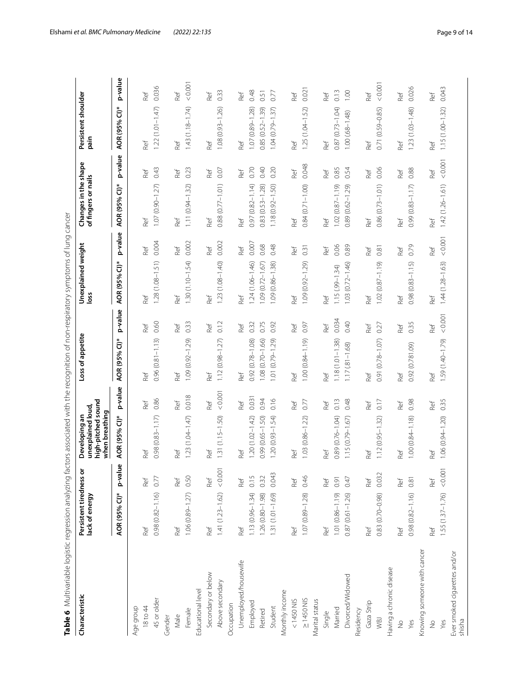<span id="page-8-0"></span>

| ۱<br>J<br>ί<br>j<br>¢<br>5                                                                                                                  |
|---------------------------------------------------------------------------------------------------------------------------------------------|
| j<br>۱                                                                                                                                      |
| ŗ<br>i                                                                                                                                      |
| i<br>١<br>į<br>l<br>į<br>Ē                                                                                                                  |
| i                                                                                                                                           |
| ś<br>j<br>r<br>7<br>゚゚<br>l<br>ļ<br>J<br>)<br>֧֧֦֧ׅ֧֦֧֛֧֧ׅ֧֧֛֛֛֛֚֚֚֚֚֚֚֚֚֚֚֚֚֜֝֓֜֜֓֜֝֜֜֜֜֜֜֜                                                |
| Ó<br>$\ddot{\phantom{0}}$<br>l<br>$\overline{\phantom{a}}$<br>ı<br>j<br>١                                                                   |
| I<br>ï<br>Ē<br>I                                                                                                                            |
| i<br>i<br>j<br>)<br>)<br>ĭ<br>¢                                                                                                             |
| )<br>$\overline{\phantom{a}}$<br>s<br>i<br>ī<br>I                                                                                           |
| $\frac{1}{2}$<br>š<br>:                                                                                                                     |
|                                                                                                                                             |
| .<br>.<br>.<br>į<br>5<br>i<br>ī<br>i<br>ï                                                                                                   |
| č<br>ċ                                                                                                                                      |
| ĉ<br>ï<br>ŗ                                                                                                                                 |
| ֚֘֝֕<br>)<br>Ç<br>ŕ<br>ׅ֚֡֡֡֡֡֡֝<br>Į                                                                                                       |
| $\overline{1}$<br>i<br>١<br>S<br>d<br>ţ                                                                                                     |
| $\overline{\phantom{a}}$<br>١<br>,<br>t<br>i<br>֦<br>١<br>くろく<br>l<br>j<br>j<br>֖֖֖ׅ֪֪ׅ֦֖֧֪ׅ֖֧֪֪֪ׅ֖֧֚֚֚֚֚֚֚֚֚֚֚֚֚֚֚֚֚֚֚֚֚֚֚֚֚֚֚֚֚֡֝֝֝֝֝֝֝֞֝ |
| ŕ<br>j<br>1<br>ï<br>i<br>i<br>١<br>Ì                                                                                                        |
| Ó<br>$\overline{ }$<br>J<br>l                                                                                                               |
| ļ<br>į<br>$\frac{2}{5}$<br>ć<br>i<br>5<br>Ó                                                                                                 |
| i <sub>4</sub><br>ć                                                                                                                         |
| c<br>J                                                                                                                                      |
| $\frac{1}{2}$                                                                                                                               |

| Characteristic                                                                                                                                                    | Persistent tiredness or<br>lack of energy |                              | high-pitched sound<br>unexplained loud,<br>when breathing<br>Developing an |         | Loss of appetite    |         | Unexplained weight<br>loss |         | Changes in the shape<br>of fingers or nails   |         | Persistent shoulder<br>pain |         |
|-------------------------------------------------------------------------------------------------------------------------------------------------------------------|-------------------------------------------|------------------------------|----------------------------------------------------------------------------|---------|---------------------|---------|----------------------------|---------|-----------------------------------------------|---------|-----------------------------|---------|
|                                                                                                                                                                   | AOR (95% CI)*                             | $\pmb{\mathsf{w}}$<br>p-valu | AOR (95% CI)*                                                              | p-value | AOR (95% CI)*       | p-value | AOR (95% CI)*              | p-value | AOR (95% CI)*                                 | p-value | AOR (95% CI)*               | p-value |
| Age group                                                                                                                                                         |                                           |                              |                                                                            |         |                     |         |                            |         |                                               |         |                             |         |
| 18 to 44                                                                                                                                                          | Ref                                       | Ref                          | Ref                                                                        | Ref     | Ref                 | Ref     | Ref                        | Ref     | Ref                                           | Ref     | Ref                         | Ref     |
| 45 or older                                                                                                                                                       | $0.98(0.82 - 1.16)$                       | 0.77                         | $0.98(0.83 - 1.17)$                                                        | 0.86    | $0.96(0.81 - 1.13)$ | 0.60    | $1.28(1.08 - 1.51)$        | 0.004   | $1.07(0.90 - 1.27)$                           | 0.43    | $1.22(1.01 - 1.47)$         | 0.036   |
| Gender                                                                                                                                                            |                                           |                              |                                                                            |         |                     |         |                            |         |                                               |         |                             |         |
| Male                                                                                                                                                              | Ref                                       | Ref                          | Ref                                                                        | Ref     | Ref                 | Ref     | Ref                        | Ref     | Ref                                           | Ref     | Ref                         | Ref     |
| Female                                                                                                                                                            | $1.06(0.89 - 1.27)$                       | 0.50                         | $1.23(1.04 - 1.47)$                                                        | 0.018   | 1.09 (0.92-1.29)    | 0.33    | $1.30(1.10 - 1.54)$        | 0.002   | $\widetilde{\mathcal{Z}}$<br>$1.11(0.94 - 1)$ | 0.23    | $1.43(1.18 - 1.74)$         | < 0.001 |
| Educational level                                                                                                                                                 |                                           |                              |                                                                            |         |                     |         |                            |         |                                               |         |                             |         |
| Secondary or below                                                                                                                                                | Ref                                       | Ref                          | Ref                                                                        | Ref     | Ref                 | Ref     | Ref                        | Ref     | Ref                                           | Ref     | Ref                         | Ref     |
| Above secondary                                                                                                                                                   | $1.41(1.23 - 1.62)$                       | 0.001                        | $1.31(1.15 - 1.50)$                                                        | < 0.001 | $1.12(0.98 - 1.27)$ | 0.12    | $1.23(1.08 - 1.40)$        | 0.002   | $0.88(0.77 - 1.01)$                           | 0.07    | $1.08(0.93 - 1.26)$         | 0.33    |
| Occupation                                                                                                                                                        |                                           |                              |                                                                            |         |                     |         |                            |         |                                               |         |                             |         |
| Unemployed/housewife                                                                                                                                              | Ref                                       | Ref                          | Ref                                                                        | Ref     | Ref                 | Ref     | Ref                        | Ref     | Ref                                           | Ref     | Ref                         | Ref     |
| Employed                                                                                                                                                          | $1.13(0.96 - 1.34)$                       | 0.15                         | $1.20(1.02 - 1.42)$                                                        | 0.031   | 0.92 (0.78-1.08)    | 0.32    | $1.24(1.06 - 1.46)$        | 0.007   | $0.97(0.82 - 1.14)$                           | 0.70    | $1.07(0.89 - 1.28)$         | 0.48    |
| Retired                                                                                                                                                           | 1.26 (0.80-1.98)                          | 0.32                         | $0.99(0.65 - 1.50)$                                                        | 0.94    | $1.08(0.70 - 1.66)$ | 0.75    | $1.09(0.72 - 1.67)$        | 0.68    | $0.83(0.53 - 1.28)$                           | 0.40    | $0.85(0.52 - 1.39)$         | 0.51    |
| Student                                                                                                                                                           | 1.31 (1.01-1.69)                          | 0.043                        | $1.20(0.93 - 1.54)$                                                        | 0.16    | 1.01 (0.79-1.29)    | 0.92    | $1.09(0.86 - 1.38)$        | 0.48    | 1.18 (0.92-1.50)                              | 0.20    | $1.04(0.79 - 1.37)$         | 0.77    |
| Monthly income                                                                                                                                                    |                                           |                              |                                                                            |         |                     |         |                            |         |                                               |         |                             |         |
| $< 1450$ NIS                                                                                                                                                      | Ref                                       | Ref                          | Ref                                                                        | Ref     | Ref                 | Ref     | Ref                        | Ref     | Ref                                           | Ref     | Ref                         | Ref     |
| $\geq$ 1450 NIS                                                                                                                                                   | $1.07(0.89 - 1.28)$                       | 0.46                         | $1.03(0.86 - 1.22)$                                                        | 0.77    | $1.00(0.84 - 1.19)$ | 0.97    | 1.09 (0.92-1.29)           | 0.31    | $0.84(0.71 - 1.00)$                           | 0.048   | $1.25(1.04 - 1.52)$         | 0.02    |
| Marital status                                                                                                                                                    |                                           |                              |                                                                            |         |                     |         |                            |         |                                               |         |                             |         |
| Single                                                                                                                                                            | Ref                                       | Ref                          | Ref                                                                        | Ref     | Ref                 | Ref     | Ref                        | Ref     | Ref                                           | Ref     | Ref                         | Ref     |
| Married                                                                                                                                                           | 1.01 (0.86-1.19)                          | 0.91                         | 0.89 (0.76-1.04)                                                           | 0.13    | $1.18(1.01 - 1.38)$ | 0.034   | $1.15(99 - 1.34)$          | 0.06    | $1.02(0.87 - 1.19)$                           | 0.85    | $0.87(0.73 - 1.04)$         | 0.13    |
| Divorced/Widowed                                                                                                                                                  | $0.87(0.61 - 1.26)$                       | 0.47                         | $1.15(0.79 - 1.67)$                                                        | 0.48    | $1.17(81 - 1.68)$   | 0.40    | $1.03(0.72 - 1.46)$        | 0.89    | $0.89(0.62 - 1.29)$                           | 0.54    | $1.00(68 - 1.48)$           | 1.00    |
| esidency                                                                                                                                                          |                                           |                              |                                                                            |         |                     |         |                            |         |                                               |         |                             |         |
| Gaza Strip                                                                                                                                                        | Ref                                       | Ref                          | Ref                                                                        | Ref     | Ref                 | Ref     | Ref                        | Ref     | Ref                                           | Ref     | Ref                         | Ref     |
| WBJ                                                                                                                                                               | $0.83(0.70 - 0.98)$                       | 0.032                        | $1.12(0.95 - 1.32)$                                                        | 0.17    | $0.91(0.78 - 1.07)$ | 0.27    | $1.02(0.87 - 1.19)$        | 0.81    | $0.86(0.73 - 1.01)$                           | 0.06    | $(0.59 - 0.85)$<br>0.71     | < 0.001 |
| Having a chronic disease                                                                                                                                          |                                           |                              |                                                                            |         |                     |         |                            |         |                                               |         |                             |         |
| $\frac{1}{2}$                                                                                                                                                     | Ref                                       | Ref                          | Ref                                                                        | Ref     | Ref                 | Ref     | Ref                        | Ref     | Ref                                           | Ref     | Ref                         | Ref     |
| Yes                                                                                                                                                               | $0.98(0.82 - 1.16)$                       | 0.81                         | $1.00(0.84 - 1.18)$                                                        | 0.98    | 0.92 (0.781.09)     | 0.35    | $0.98(0.83 - 1.15)$        | 0.79    | $0.99(0.83 - 1.17)$                           | 0.88    | $1.23(1.03 - 1.48)$         | 0.026   |
| <nowing cancer<="" someone="" td="" with=""><td></td><td></td><td></td><td></td><td></td><td></td><td></td><td></td><td></td><td></td><td></td><td></td></nowing> |                                           |                              |                                                                            |         |                     |         |                            |         |                                               |         |                             |         |
| $\frac{1}{2}$                                                                                                                                                     | Ref                                       | Ref                          | Ref                                                                        | Ref     | Ref                 | Ref     | Ref                        | Ref     | Ref                                           | Ref     | Ref                         | Ref     |
| Yes                                                                                                                                                               | 1.55 (1.37-1.76) < 0.001                  |                              | $1.06(0.94 - 1.20)$                                                        | 0.35    | 1.59 (1.40-1.79)    | 0.001   | $1.44(1.28 - 1.63)$        | 0.001   | $1.42(1.26 - 1.61)$                           | < 0.001 | $1.15(1.00 - 1.32)$         | 0.043   |
| Ever smoked cigarettes and/or<br>shisha                                                                                                                           |                                           |                              |                                                                            |         |                     |         |                            |         |                                               |         |                             |         |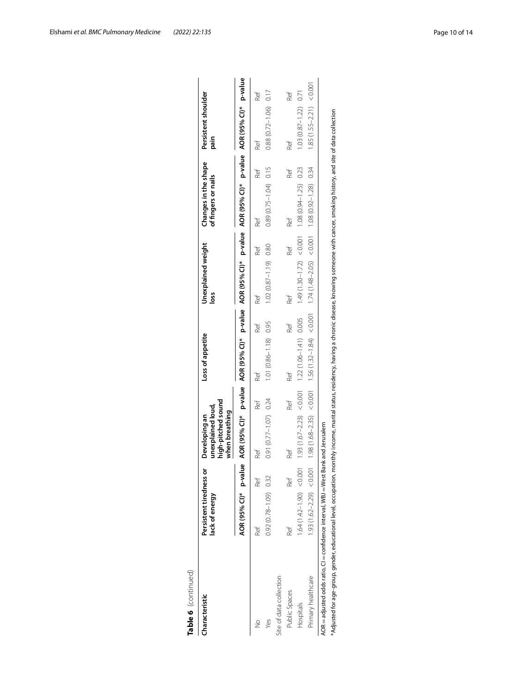| Characteristic                                                                                                                                                                                                                                                                                       | Persistent tiredness or<br>lack of energy |     | high-pitched sound<br>unexplained loud,<br>when breathing<br>Developing an |     | Loss of appetite                                        |     | Unexplained weight<br>loss                                                                                    |     | Changes in the shape<br>of fingers or nails       |     | Persistent shoulder<br>pain |     |
|------------------------------------------------------------------------------------------------------------------------------------------------------------------------------------------------------------------------------------------------------------------------------------------------------|-------------------------------------------|-----|----------------------------------------------------------------------------|-----|---------------------------------------------------------|-----|---------------------------------------------------------------------------------------------------------------|-----|---------------------------------------------------|-----|-----------------------------|-----|
|                                                                                                                                                                                                                                                                                                      | AOR (95% CI)* p-value                     |     |                                                                            |     |                                                         |     | AOR (95% Cl)* p-value AOR (95% Cl)* p-value AOR (95% Cl)* p-value AOR (95% Cl)* p-value AOR (95% Cl)* p-value |     |                                                   |     |                             |     |
| $\frac{1}{2}$                                                                                                                                                                                                                                                                                        | Ref                                       | Ref | Ref                                                                        | Ref | Ref                                                     | Ref | Ref                                                                                                           | Ref | Ref                                               | Ref | Ref                         | Ref |
| Yes                                                                                                                                                                                                                                                                                                  | $0.92(0.78 - 1.09)$ 0.32                  |     | $0.91(0.77 - 1.07)$ 0.24                                                   |     | $1.01(0.86 - 1.18)$ 0.95                                |     | $1.02(0.87 - 1.19)$ 0.80                                                                                      |     | $0.89(0.75 - 1.04)$ 0.15                          |     | $0.88(0.72 - 1.06)$ 0.17    |     |
| Site of data collection                                                                                                                                                                                                                                                                              |                                           |     |                                                                            |     |                                                         |     |                                                                                                               |     |                                                   |     |                             |     |
| Public Spaces                                                                                                                                                                                                                                                                                        | Ref                                       | Ref | Ref                                                                        | Ref | Ref                                                     | Ref | Ref                                                                                                           | Ref | Ref                                               | Ref | Ref                         | Ref |
| Hospitals                                                                                                                                                                                                                                                                                            | $1.64(1.42 - 1.90) < 0.001$               |     |                                                                            |     | 1.93 $(1.67 - 2.23)$ < 0.001 1.22 $(1.06 - 1.41)$ 0.005 |     |                                                                                                               |     | $1.49(1.30-1.72) < 0.001$ 1.08 $(0.94-1.25)$ 0.23 |     | $1.03(0.87 - 1.22)$ 0.71    |     |
| Primary healthcare                                                                                                                                                                                                                                                                                   | $1.93(1.62 - 2.29) < 0.001$               |     |                                                                            |     |                                                         |     | ォCO(821-7600 801 10000 ∨(902-841) #Z1 1000) (tra l-751 b 91 1 1000 0 > (Ser2-891) 861                         |     |                                                   |     | $1.85(1.55-2.21) < 0.001$   |     |
| *Adjusted for age-group, gender, educational level, occupation, monthly income, marital status, residency, having a chronic disease, knowing someone with cancer, smoking history, and site of data collection<br>AOR = adjusted odds ratio, CI = confidence interval, WBJ = West Bank and Jerusalem |                                           |     |                                                                            |     |                                                         |     |                                                                                                               |     |                                                   |     |                             |     |

Elshami *et al. BMC Pulmonary Medicine (2022) 22:135* Page 10 of 14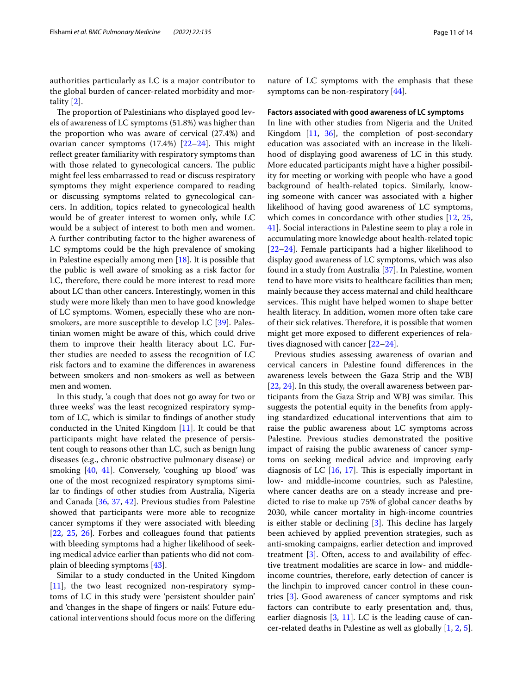authorities particularly as LC is a major contributor to the global burden of cancer-related morbidity and mortality [[2](#page-12-1)].

The proportion of Palestinians who displayed good levels of awareness of LC symptoms (51.8%) was higher than the proportion who was aware of cervical (27.4%) and ovarian cancer symptoms  $(17.4%)$   $[22–24]$  $[22–24]$  $[22–24]$  $[22–24]$ . This might reflect greater familiarity with respiratory symptoms than with those related to gynecological cancers. The public might feel less embarrassed to read or discuss respiratory symptoms they might experience compared to reading or discussing symptoms related to gynecological cancers. In addition, topics related to gynecological health would be of greater interest to women only, while LC would be a subject of interest to both men and women. A further contributing factor to the higher awareness of LC symptoms could be the high prevalence of smoking in Palestine especially among men [\[18\]](#page-12-16). It is possible that the public is well aware of smoking as a risk factor for LC, therefore, there could be more interest to read more about LC than other cancers. Interestingly, women in this study were more likely than men to have good knowledge of LC symptoms. Women, especially these who are nonsmokers, are more susceptible to develop LC [[39\]](#page-13-14). Palestinian women might be aware of this, which could drive them to improve their health literacy about LC. Further studies are needed to assess the recognition of LC risk factors and to examine the diferences in awareness between smokers and non-smokers as well as between men and women.

In this study, 'a cough that does not go away for two or three weeks' was the least recognized respiratory symptom of LC, which is similar to fndings of another study conducted in the United Kingdom [\[11\]](#page-12-10). It could be that participants might have related the presence of persistent cough to reasons other than LC, such as benign lung diseases (e.g., chronic obstructive pulmonary disease) or smoking [\[40](#page-13-15), [41\]](#page-13-16). Conversely, 'coughing up blood' was one of the most recognized respiratory symptoms similar to fndings of other studies from Australia, Nigeria and Canada [\[36](#page-13-13), [37](#page-13-11), [42](#page-13-17)]. Previous studies from Palestine showed that participants were more able to recognize cancer symptoms if they were associated with bleeding [[22,](#page-12-19) [25](#page-13-5), [26](#page-13-18)]. Forbes and colleagues found that patients with bleeding symptoms had a higher likelihood of seeking medical advice earlier than patients who did not complain of bleeding symptoms [[43\]](#page-13-19).

Similar to a study conducted in the United Kingdom [[11\]](#page-12-10), the two least recognized non-respiratory symptoms of LC in this study were 'persistent shoulder pain' and 'changes in the shape of fngers or nails'. Future educational interventions should focus more on the difering nature of LC symptoms with the emphasis that these symptoms can be non-respiratory [\[44\]](#page-13-20).

#### **Factors associated with good awareness of LC symptoms**

In line with other studies from Nigeria and the United Kingdom  $[11, 36]$  $[11, 36]$  $[11, 36]$  $[11, 36]$ , the completion of post-secondary education was associated with an increase in the likelihood of displaying good awareness of LC in this study. More educated participants might have a higher possibility for meeting or working with people who have a good background of health-related topics. Similarly, knowing someone with cancer was associated with a higher likelihood of having good awareness of LC symptoms, which comes in concordance with other studies [\[12,](#page-12-11) [25](#page-13-5), [41\]](#page-13-16). Social interactions in Palestine seem to play a role in accumulating more knowledge about health-related topic [[22–](#page-12-19)[24\]](#page-13-2). Female participants had a higher likelihood to display good awareness of LC symptoms, which was also found in a study from Australia [\[37](#page-13-11)]. In Palestine, women tend to have more visits to healthcare facilities than men; mainly because they access maternal and child healthcare services. This might have helped women to shape better health literacy. In addition, women more often take care of their sick relatives. Therefore, it is possible that women might get more exposed to diferent experiences of relatives diagnosed with cancer [[22–](#page-12-19)[24](#page-13-2)].

Previous studies assessing awareness of ovarian and cervical cancers in Palestine found diferences in the awareness levels between the Gaza Strip and the WBJ [[22,](#page-12-19) [24](#page-13-2)]. In this study, the overall awareness between participants from the Gaza Strip and WBJ was similar. This suggests the potential equity in the benefts from applying standardized educational interventions that aim to raise the public awareness about LC symptoms across Palestine. Previous studies demonstrated the positive impact of raising the public awareness of cancer symptoms on seeking medical advice and improving early diagnosis of LC  $[16, 17]$  $[16, 17]$  $[16, 17]$  $[16, 17]$ . This is especially important in low- and middle-income countries, such as Palestine, where cancer deaths are on a steady increase and predicted to rise to make up 75% of global cancer deaths by 2030, while cancer mortality in high-income countries is either stable or declining  $[3]$  $[3]$ . This decline has largely been achieved by applied prevention strategies, such as anti-smoking campaigns, earlier detection and improved treatment [\[3](#page-12-2)]. Often, access to and availability of efective treatment modalities are scarce in low- and middleincome countries, therefore, early detection of cancer is the linchpin to improved cancer control in these countries [[3\]](#page-12-2). Good awareness of cancer symptoms and risk factors can contribute to early presentation and, thus, earlier diagnosis  $[3, 11]$  $[3, 11]$  $[3, 11]$  $[3, 11]$  $[3, 11]$ . LC is the leading cause of cancer-related deaths in Palestine as well as globally [[1,](#page-12-0) [2](#page-12-1), [5](#page-12-4)].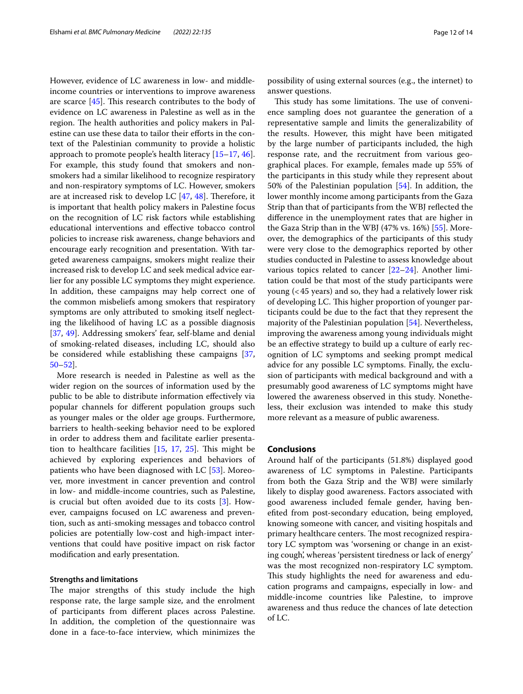However, evidence of LC awareness in low- and middleincome countries or interventions to improve awareness are scarce  $[45]$  $[45]$ . This research contributes to the body of evidence on LC awareness in Palestine as well as in the region. The health authorities and policy makers in Palestine can use these data to tailor their efforts in the context of the Palestinian community to provide a holistic approach to promote people's health literacy [[15–](#page-12-14)[17,](#page-12-15) [46](#page-13-22)]. For example, this study found that smokers and nonsmokers had a similar likelihood to recognize respiratory and non-respiratory symptoms of LC. However, smokers are at increased risk to develop LC  $[47, 48]$  $[47, 48]$  $[47, 48]$  $[47, 48]$ . Therefore, it is important that health policy makers in Palestine focus on the recognition of LC risk factors while establishing educational interventions and efective tobacco control policies to increase risk awareness, change behaviors and encourage early recognition and presentation. With targeted awareness campaigns, smokers might realize their increased risk to develop LC and seek medical advice earlier for any possible LC symptoms they might experience. In addition, these campaigns may help correct one of the common misbeliefs among smokers that respiratory symptoms are only attributed to smoking itself neglecting the likelihood of having LC as a possible diagnosis [[37,](#page-13-11) [49\]](#page-13-25). Addressing smokers' fear, self-blame and denial of smoking-related diseases, including LC, should also be considered while establishing these campaigns [\[37](#page-13-11), [50–](#page-13-26)[52](#page-13-27)].

More research is needed in Palestine as well as the wider region on the sources of information used by the public to be able to distribute information efectively via popular channels for diferent population groups such as younger males or the older age groups. Furthermore, barriers to health-seeking behavior need to be explored in order to address them and facilitate earlier presentation to healthcare facilities  $[15, 17, 25]$  $[15, 17, 25]$  $[15, 17, 25]$  $[15, 17, 25]$  $[15, 17, 25]$ . This might be achieved by exploring experiences and behaviors of patients who have been diagnosed with LC [\[53\]](#page-13-28). Moreover, more investment in cancer prevention and control in low- and middle-income countries, such as Palestine, is crucial but often avoided due to its costs [[3\]](#page-12-2). However, campaigns focused on LC awareness and prevention, such as anti-smoking messages and tobacco control policies are potentially low-cost and high-impact interventions that could have positive impact on risk factor modifcation and early presentation.

## **Strengths and limitations**

The major strengths of this study include the high response rate, the large sample size, and the enrolment of participants from diferent places across Palestine. In addition, the completion of the questionnaire was done in a face-to-face interview, which minimizes the possibility of using external sources (e.g., the internet) to answer questions.

This study has some limitations. The use of convenience sampling does not guarantee the generation of a representative sample and limits the generalizability of the results. However, this might have been mitigated by the large number of participants included, the high response rate, and the recruitment from various geographical places. For example, females made up 55% of the participants in this study while they represent about 50% of the Palestinian population [[54\]](#page-13-29). In addition, the lower monthly income among participants from the Gaza Strip than that of participants from the WBJ refected the diference in the unemployment rates that are higher in the Gaza Strip than in the WBJ (47% vs. 16%) [[55\]](#page-13-30). Moreover, the demographics of the participants of this study were very close to the demographics reported by other studies conducted in Palestine to assess knowledge about various topics related to cancer  $[22-24]$  $[22-24]$  $[22-24]$ . Another limitation could be that most of the study participants were young (<45 years) and so, they had a relatively lower risk of developing LC. This higher proportion of younger participants could be due to the fact that they represent the majority of the Palestinian population [[54](#page-13-29)]. Nevertheless, improving the awareness among young individuals might be an efective strategy to build up a culture of early recognition of LC symptoms and seeking prompt medical advice for any possible LC symptoms. Finally, the exclusion of participants with medical background and with a presumably good awareness of LC symptoms might have lowered the awareness observed in this study. Nonetheless, their exclusion was intended to make this study more relevant as a measure of public awareness.

# **Conclusions**

Around half of the participants (51.8%) displayed good awareness of LC symptoms in Palestine. Participants from both the Gaza Strip and the WBJ were similarly likely to display good awareness. Factors associated with good awareness included female gender, having benefted from post-secondary education, being employed, knowing someone with cancer, and visiting hospitals and primary healthcare centers. The most recognized respiratory LC symptom was 'worsening or change in an existing cough', whereas 'persistent tiredness or lack of energy' was the most recognized non-respiratory LC symptom. This study highlights the need for awareness and education programs and campaigns, especially in low- and middle-income countries like Palestine, to improve awareness and thus reduce the chances of late detection of LC.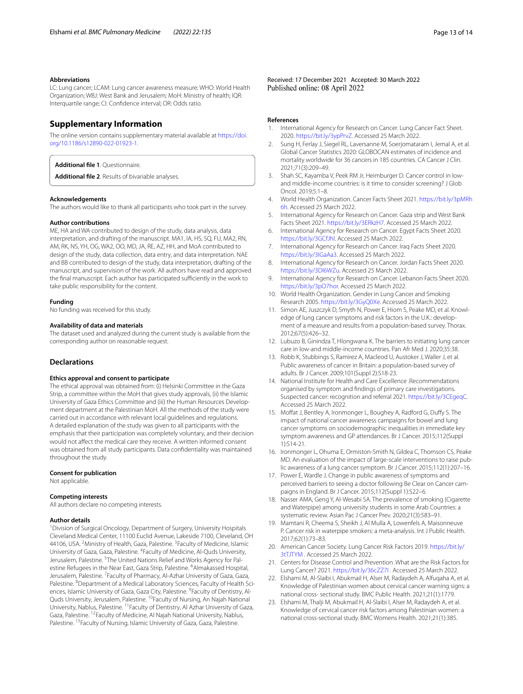#### **Abbreviations**

LC: Lung cancer; LCAM: Lung cancer awareness measure; WHO: World Health Organization; WBJ: West Bank and Jerusalem; MoH: Ministry of health; IQR: Interquartile range; CI: Confdence interval; OR: Odds ratio.

## **Supplementary Information**

The online version contains supplementary material available at [https://doi.](https://doi.org/10.1186/s12890-022-01923-1) [org/10.1186/s12890-022-01923-1](https://doi.org/10.1186/s12890-022-01923-1).

<span id="page-12-21"></span><span id="page-12-20"></span>**Additional fle 1**. Questionnaire.

**Additional fle 2**. Results of bivariable analyses.

#### **Acknowledgements**

The authors would like to thank all participants who took part in the survey.

#### **Author contributions**

ME, HA and WA contributed to design of the study, data analysis, data interpretation, and drafting of the manuscript. MA1, IA, HS, SQ, FU, MA2, RN, AM, RK, NS, YH, OG, WA2, OO, MD, JA, RE, AZ, HH, and MoA contributed to design of the study, data collection, data entry, and data interpretation. NAE and BB contributed to design of the study, data interpretation, drafting of the manuscript, and supervision of the work. All authors have read and approved the final manuscript. Each author has participated sufficiently in the work to take public responsibility for the content.

## **Funding**

No funding was received for this study.

#### **Availability of data and materials**

The dataset used and analyzed during the current study is available from the corresponding author on reasonable request.

## **Declarations**

## **Ethics approval and consent to participate**

The ethical approval was obtained from: (i) Helsinki Committee in the Gaza Strip, a committee within the MoH that gives study approvals, (ii) the Islamic University of Gaza Ethics Committee and (iii) the Human Resources Development department at the Palestinian MoH. All the methods of the study were carried out in accordance with relevant local guidelines and regulations. A detailed explanation of the study was given to all participants with the emphasis that their participation was completely voluntary, and their decision would not afect the medical care they receive. A written informed consent was obtained from all study participants. Data confdentiality was maintained throughout the study.

#### **Consent for publication**

Not applicable.

#### **Competing interests**

All authors declare no competing interests.

## **Author details**

<sup>1</sup> Division of Surgical Oncology, Department of Surgery, University Hospitals Cleveland Medical Center, 11100 Euclid Avenue, Lakeside 7100, Cleveland, OH 44106, USA. <sup>2</sup> Ministry of Health, Gaza, Palestine. <sup>3</sup> Faculty of Medicine, Islamic University of Gaza, Gaza, Palestine. <sup>4</sup> Faculty of Medicine, Al-Quds University, Jerusalem, Palestine. <sup>5</sup>The United Nations Relief and Works Agency for Palestine Refugees in the Near East, Gaza Strip, Palestine. <sup>6</sup>Almakassed Hospital, Jerusalem, Palestine. <sup>7</sup> Faculty of Pharmacy, Al-Azhar University of Gaza, Gaza, Palestine. <sup>8</sup>Department of a Medical Laboratory Sciences, Faculty of Health Sciences, Islamic University of Gaza, Gaza City, Palestine. <sup>9</sup>Faculty of Dentistry, Al-Quds University, Jerusalem, Palestine. 10Faculty of Nursing, An Najah National University, Nablus, Palestine. 11Faculty of Dentistry, Al Azhar University of Gaza, Gaza, Palestine. 12Faculty of Medicine, Al Najah National University, Nablus, Palestine. <sup>13</sup>Faculty of Nursing, Islamic University of Gaza, Gaza, Palestine.

Received: 17 December 2021 Accepted: 30 March 2022

## **References**

- <span id="page-12-0"></span>1. International Agency for Research on Cancer. Lung Cancer Fact Sheet. 2020. [https://bit.ly/3ypPrvZ.](https://bit.ly/3ypPrvZ) Accessed 25 March 2022.
- <span id="page-12-1"></span>2. Sung H, Ferlay J, Siegel RL, Laversanne M, Soerjomataram I, Jemal A, et al. Global Cancer Statistics 2020: GLOBOCAN estimates of incidence and mortality worldwide for 36 cancers in 185 countries. CA Cancer J Clin. 2021;71(3):209–49.
- <span id="page-12-2"></span>3. Shah SC, Kayamba V, Peek RM Jr, Heimburger D. Cancer control in lowand middle-income countries: is it time to consider screening? J Glob Oncol. 2019;5:1–8.
- <span id="page-12-3"></span>4. World Health Organization. Cancer Facts Sheet 2021. [https://bit.ly/3pMRh](https://bit.ly/3pMRh6h) [6h](https://bit.ly/3pMRh6h). Accessed 25 March 2022.
- <span id="page-12-4"></span>5. International Agency for Research on Cancer. Gaza strip and West Bank Facts Sheet 2021. <https://bit.ly/3ERkzH7>. Accessed 25 March 2022.
- <span id="page-12-5"></span>6. International Agency for Research on Cancer. Egypt Facts Sheet 2020. <https://bit.ly/3GCfJhl>. Accessed 25 March 2022.
- <span id="page-12-6"></span>7. International Agency for Research on Cancer. Iraq Facts Sheet 2020. [https://bit.ly/3IGaAa3.](https://bit.ly/3IGaAa3) Accessed 25 March 2022.
- <span id="page-12-7"></span>8. International Agency for Research on Cancer. Jordan Facts Sheet 2020. [https://bit.ly/3DI6WZu.](https://bit.ly/3DI6WZu) Accessed 25 March 2022.
- <span id="page-12-8"></span>9. International Agency for Research on Cancer. Lebanon Facts Sheet 2020. <https://bit.ly/3pO7hor>. Accessed 25 March 2022.
- <span id="page-12-9"></span>10. World Health Organization. Gender in Lung Cancer and Smoking Research 2005. [https://bit.ly/3GyQ0Xe.](https://bit.ly/3GyQ0Xe) Accessed 25 March 2022.
- <span id="page-12-10"></span>11. Simon AE, Juszczyk D, Smyth N, Power E, Hiom S, Peake MD, et al. Knowledge of lung cancer symptoms and risk factors in the U.K.: development of a measure and results from a population-based survey. Thorax. 2012;67(5):426–32.
- <span id="page-12-11"></span>12. Lubuzo B, Ginindza T, Hlongwana K. The barriers to initiating lung cancer care in low-and middle-income countries. Pan Afr Med J. 2020;35:38.
- <span id="page-12-12"></span>13. Robb K, Stubbings S, Ramirez A, Macleod U, Austoker J, Waller J, et al. Public awareness of cancer in Britain: a population-based survey of adults. Br J Cancer. 2009;101(Suppl 2):S18-23.
- <span id="page-12-13"></span>14. National Institute for Health and Care Excellence .Recommendations organised by symptom and fndings of primary care investigations. Suspected cancer: recognition and referral 2021. [https://bit.ly/3CEgeqC.](https://bit.ly/3CEgeqC) Accessed 25 March 2022.
- <span id="page-12-14"></span>15. Moffat J, Bentley A, Ironmonger L, Boughey A, Radford G, Duffy S. The impact of national cancer awareness campaigns for bowel and lung cancer symptoms on sociodemographic inequalities in immediate key symptom awareness and GP attendances. Br J Cancer. 2015;112(Suppl 1):S14-21.
- <span id="page-12-22"></span>16. Ironmonger L, Ohuma E, Ormiston-Smith N, Gildea C, Thomson CS, Peake MD. An evaluation of the impact of large-scale interventions to raise public awareness of a lung cancer symptom. Br J Cancer. 2015;112(1):207–16.
- <span id="page-12-15"></span>17. Power E, Wardle J. Change in public awareness of symptoms and perceived barriers to seeing a doctor following Be Clear on Cancer campaigns in England. Br J Cancer. 2015;112(Suppl 1):S22–6.
- <span id="page-12-16"></span>18. Nasser AMA, Geng Y, Al-Wesabi SA. The prevalence of smoking (Cigarette and Waterpipe) among university students in some Arab Countries: a systematic review. Asian Pac J Cancer Prev. 2020;21(3):583–91.
- <span id="page-12-17"></span>19. Mamtani R, Cheema S, Sheikh J, Al Mulla A, Lowenfels A, Maisonneuve P. Cancer risk in waterpipe smokers: a meta-analysis. Int J Public Health. 2017;62(1):73–83.
- 20. American Cancer Society. Lung Cancer Risk Factors 2019. [https://bit.ly/](https://bit.ly/3tTJTYM) [3tTJTYM](https://bit.ly/3tTJTYM) . Accessed 25 March 2022.
- <span id="page-12-18"></span>21. Centers for Disease Control and Prevention .What are the Risk Factors for Lung Cancer? 2021. <https://bit.ly/36cZZ7I>. Accessed 25 March 2022.
- <span id="page-12-19"></span>22. Elshami M, Al-Slaibi I, Abukmail H, Alser M, Radaydeh A, Alfuqaha A, et al. Knowledge of Palestinian women about cervical cancer warning signs: a national cross- sectional study. BMC Public Health. 2021;21(1):1779.
- 23. Elshami M, Thalji M, Abukmail H, Al-Slaibi I, Alser M, Radaydeh A, et al. Knowledge of cervical cancer risk factors among Palestinian women: a national cross-sectional study. BMC Womens Health. 2021;21(1):385.